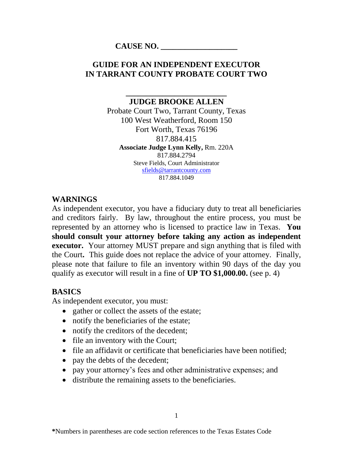#### **CAUSE NO. \_\_\_\_\_\_\_\_\_\_\_\_\_\_\_\_\_\_\_**

### **GUIDE FOR AN INDEPENDENT EXECUTOR IN TARRANT COUNTY PROBATE COURT TWO**

**\_\_\_\_\_\_\_\_\_\_\_\_\_\_\_\_\_\_\_\_\_\_\_\_\_**

**JUDGE BROOKE ALLEN** Probate Court Two, Tarrant County, Texas 100 West Weatherford, Room 150 Fort Worth, Texas 76196 817.884.415 **Associate Judge Lynn Kelly,** Rm. 220A 817.884.2794 Steve Fields, Court Administrator [sfields@tarrantcounty.com](mailto:sfields@tarrantcounty.com) 817.884.1049

#### **WARNINGS**

As independent executor, you have a fiduciary duty to treat all beneficiaries and creditors fairly. By law, throughout the entire process, you must be represented by an attorney who is licensed to practice law in Texas. **You should consult your attorney before taking any action as independent executor.** Your attorney MUST prepare and sign anything that is filed with the Court**.** This guide does not replace the advice of your attorney. Finally, please note that failure to file an inventory within 90 days of the day you qualify as executor will result in a fine of **UP TO \$1,000.00.** (see p. 4)

## **BASICS**

As independent executor, you must:

- gather or collect the assets of the estate;
- notify the beneficiaries of the estate;
- notify the creditors of the decedent;
- file an inventory with the Court;
- file an affidavit or certificate that beneficiaries have been notified;
- pay the debts of the decedent;
- pay your attorney's fees and other administrative expenses; and
- distribute the remaining assets to the beneficiaries.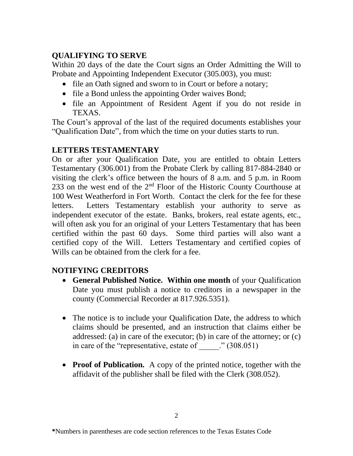## **QUALIFYING TO SERVE**

Within 20 days of the date the Court signs an Order Admitting the Will to Probate and Appointing Independent Executor (305.003), you must:

- file an Oath signed and sworn to in Court or before a notary;
- file a Bond unless the appointing Order waives Bond;
- file an Appointment of Resident Agent if you do not reside in TEXAS.

The Court's approval of the last of the required documents establishes your "Qualification Date", from which the time on your duties starts to run.

# **LETTERS TESTAMENTARY**

On or after your Qualification Date, you are entitled to obtain Letters Testamentary (306.001) from the Probate Clerk by calling 817-884-2840 or visiting the clerk's office between the hours of 8 a.m. and 5 p.m. in Room 233 on the west end of the  $2<sup>nd</sup>$  Floor of the Historic County Courthouse at 100 West Weatherford in Fort Worth. Contact the clerk for the fee for these letters. Letters Testamentary establish your authority to serve as independent executor of the estate. Banks, brokers, real estate agents, etc., will often ask you for an original of your Letters Testamentary that has been certified within the past 60 days. Some third parties will also want a certified copy of the Will. Letters Testamentary and certified copies of Wills can be obtained from the clerk for a fee.

## **NOTIFYING CREDITORS**

- **General Published Notice. Within one month** of your Qualification Date you must publish a notice to creditors in a newspaper in the county (Commercial Recorder at 817.926.5351).
- The notice is to include your Qualification Date, the address to which claims should be presented, and an instruction that claims either be addressed: (a) in care of the executor; (b) in care of the attorney; or (c) in care of the "representative, estate of  $\qquad$  ." (308.051)
- **Proof of Publication.** A copy of the printed notice, together with the affidavit of the publisher shall be filed with the Clerk (308.052).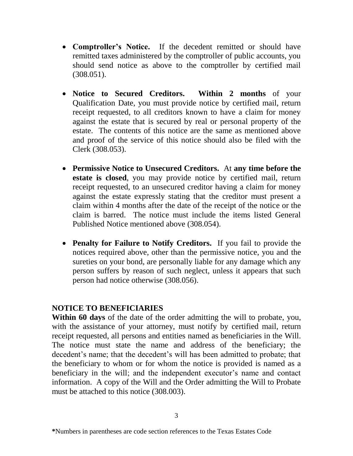- **Comptroller's Notice.** If the decedent remitted or should have remitted taxes administered by the comptroller of public accounts, you should send notice as above to the comptroller by certified mail (308.051).
- **Notice to Secured Creditors. Within 2 months** of your Qualification Date, you must provide notice by certified mail, return receipt requested, to all creditors known to have a claim for money against the estate that is secured by real or personal property of the estate. The contents of this notice are the same as mentioned above and proof of the service of this notice should also be filed with the Clerk (308.053).
- **Permissive Notice to Unsecured Creditors.** At **any time before the estate is closed**, you may provide notice by certified mail, return receipt requested, to an unsecured creditor having a claim for money against the estate expressly stating that the creditor must present a claim within 4 months after the date of the receipt of the notice or the claim is barred. The notice must include the items listed General Published Notice mentioned above (308.054).
- **Penalty for Failure to Notify Creditors.** If you fail to provide the notices required above, other than the permissive notice, you and the sureties on your bond, are personally liable for any damage which any person suffers by reason of such neglect, unless it appears that such person had notice otherwise (308.056).

#### **NOTICE TO BENEFICIARIES**

**Within 60 days** of the date of the order admitting the will to probate, you, with the assistance of your attorney, must notify by certified mail, return receipt requested, all persons and entities named as beneficiaries in the Will. The notice must state the name and address of the beneficiary; the decedent's name; that the decedent's will has been admitted to probate; that the beneficiary to whom or for whom the notice is provided is named as a beneficiary in the will; and the independent executor's name and contact information. A copy of the Will and the Order admitting the Will to Probate must be attached to this notice (308.003).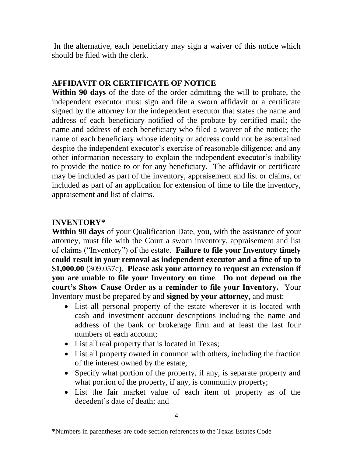In the alternative, each beneficiary may sign a waiver of this notice which should be filed with the clerk.

### **AFFIDAVIT OR CERTIFICATE OF NOTICE**

**Within 90 days** of the date of the order admitting the will to probate, the independent executor must sign and file a sworn affidavit or a certificate signed by the attorney for the independent executor that states the name and address of each beneficiary notified of the probate by certified mail; the name and address of each beneficiary who filed a waiver of the notice; the name of each beneficiary whose identity or address could not be ascertained despite the independent executor's exercise of reasonable diligence; and any other information necessary to explain the independent executor's inability to provide the notice to or for any beneficiary. The affidavit or certificate may be included as part of the inventory, appraisement and list or claims, or included as part of an application for extension of time to file the inventory, appraisement and list of claims.

## **INVENTORY\***

**Within 90 days** of your Qualification Date, you, with the assistance of your attorney, must file with the Court a sworn inventory, appraisement and list of claims ("Inventory") of the estate. **Failure to file your Inventory timely could result in your removal as independent executor and a fine of up to \$1,000.00** (309.057c). **Please ask your attorney to request an extension if you are unable to file your Inventory on time**. **Do not depend on the court's Show Cause Order as a reminder to file your Inventory.** Your Inventory must be prepared by and **signed by your attorney**, and must:

- List all personal property of the estate wherever it is located with cash and investment account descriptions including the name and address of the bank or brokerage firm and at least the last four numbers of each account;
- List all real property that is located in Texas;
- List all property owned in common with others, including the fraction of the interest owned by the estate;
- Specify what portion of the property, if any, is separate property and what portion of the property, if any, is community property;
- List the fair market value of each item of property as of the decedent's date of death; and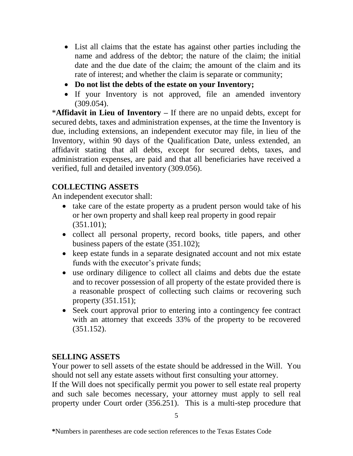- List all claims that the estate has against other parties including the name and address of the debtor; the nature of the claim; the initial date and the due date of the claim; the amount of the claim and its rate of interest; and whether the claim is separate or community;
- **Do not list the debts of the estate on your Inventory;**
- If your Inventory is not approved, file an amended inventory (309.054).

\***Affidavit in Lieu of Inventory –** If there are no unpaid debts, except for secured debts, taxes and administration expenses, at the time the Inventory is due, including extensions, an independent executor may file, in lieu of the Inventory, within 90 days of the Qualification Date, unless extended, an affidavit stating that all debts, except for secured debts, taxes, and administration expenses, are paid and that all beneficiaries have received a verified, full and detailed inventory (309.056).

### **COLLECTING ASSETS**

An independent executor shall:

- take care of the estate property as a prudent person would take of his or her own property and shall keep real property in good repair  $(351.101);$
- collect all personal property, record books, title papers, and other business papers of the estate (351.102);
- keep estate funds in a separate designated account and not mix estate funds with the executor's private funds;
- use ordinary diligence to collect all claims and debts due the estate and to recover possession of all property of the estate provided there is a reasonable prospect of collecting such claims or recovering such property (351.151);
- Seek court approval prior to entering into a contingency fee contract with an attorney that exceeds 33% of the property to be recovered (351.152).

### **SELLING ASSETS**

Your power to sell assets of the estate should be addressed in the Will. You should not sell any estate assets without first consulting your attorney.

If the Will does not specifically permit you power to sell estate real property and such sale becomes necessary, your attorney must apply to sell real property under Court order (356.251). This is a multi-step procedure that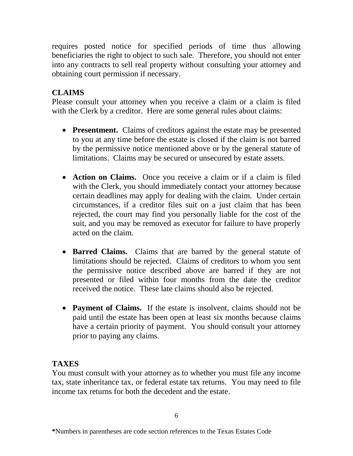requires posted notice for specified periods of time thus allowing beneficiaries the right to object to such sale. Therefore, you should not enter into any contracts to sell real property without consulting your attorney and obtaining court permission if necessary.

# **CLAIMS**

Please consult your attorney when you receive a claim or a claim is filed with the Clerk by a creditor. Here are some general rules about claims:

- **Presentment.** Claims of creditors against the estate may be presented to you at any time before the estate is closed if the claim is not barred by the permissive notice mentioned above or by the general statute of limitations. Claims may be secured or unsecured by estate assets.
- **Action on Claims.** Once you receive a claim or if a claim is filed with the Clerk, you should immediately contact your attorney because certain deadlines may apply for dealing with the claim. Under certain circumstances, if a creditor files suit on a just claim that has been rejected, the court may find you personally liable for the cost of the suit, and you may be removed as executor for failure to have properly acted on the claim.
- **Barred Claims.** Claims that are barred by the general statute of limitations should be rejected. Claims of creditors to whom you sent the permissive notice described above are barred if they are not presented or filed within four months from the date the creditor received the notice. These late claims should also be rejected.
- **Payment of Claims.** If the estate is insolvent, claims should not be paid until the estate has been open at least six months because claims have a certain priority of payment. You should consult your attorney prior to paying any claims.

## **TAXES**

You must consult with your attorney as to whether you must file any income tax, state inheritance tax, or federal estate tax returns. You may need to file income tax returns for both the decedent and the estate.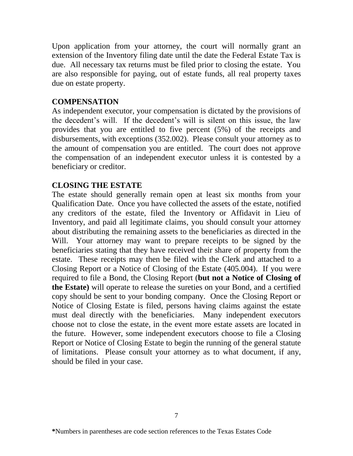Upon application from your attorney, the court will normally grant an extension of the Inventory filing date until the date the Federal Estate Tax is due. All necessary tax returns must be filed prior to closing the estate. You are also responsible for paying, out of estate funds, all real property taxes due on estate property.

#### **COMPENSATION**

As independent executor, your compensation is dictated by the provisions of the decedent's will. If the decedent's will is silent on this issue, the law provides that you are entitled to five percent (5%) of the receipts and disbursements, with exceptions (352.002). Please consult your attorney as to the amount of compensation you are entitled. The court does not approve the compensation of an independent executor unless it is contested by a beneficiary or creditor.

#### **CLOSING THE ESTATE**

The estate should generally remain open at least six months from your Qualification Date. Once you have collected the assets of the estate, notified any creditors of the estate, filed the Inventory or Affidavit in Lieu of Inventory, and paid all legitimate claims, you should consult your attorney about distributing the remaining assets to the beneficiaries as directed in the Will. Your attorney may want to prepare receipts to be signed by the beneficiaries stating that they have received their share of property from the estate. These receipts may then be filed with the Clerk and attached to a Closing Report or a Notice of Closing of the Estate (405.004). If you were required to file a Bond, the Closing Report (**but not a Notice of Closing of the Estate)** will operate to release the sureties on your Bond, and a certified copy should be sent to your bonding company. Once the Closing Report or Notice of Closing Estate is filed, persons having claims against the estate must deal directly with the beneficiaries. Many independent executors choose not to close the estate, in the event more estate assets are located in the future. However, some independent executors choose to file a Closing Report or Notice of Closing Estate to begin the running of the general statute of limitations. Please consult your attorney as to what document, if any, should be filed in your case.